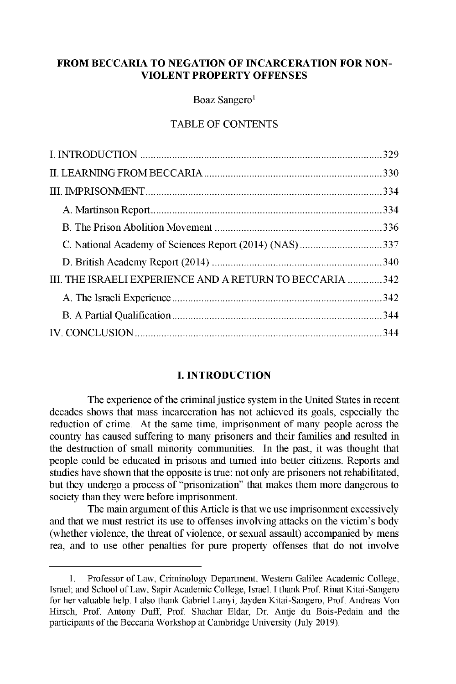## **FROM BECCARIA TO NEGATION OF INCARCERATION FOR NON-VIOLENT PROPERTY OFFENSES**

**Boaz Sangero'**

# TABLE OF CONTENTS

| C. National Academy of Sciences Report (2014) (NAS) 337  |  |
|----------------------------------------------------------|--|
|                                                          |  |
| III. THE ISRAELI EXPERIENCE AND A RETURN TO BECCARIA 342 |  |
|                                                          |  |
|                                                          |  |
|                                                          |  |

## **I. INTRODUCTION**

**The experience of the criminal justice system in the United States in recent decades shows that mass incarceration has not achieved its goals, especially the reduction of crime. At the same time, imprisonment of many people across the country has caused suffering to many prisoners and their families and resulted in the destruction of small minority communities. In the past, it was thought that people could be educated in prisons and turned into better citizens. Reports and studies have shown that the opposite is true: not only are prisoners not rehabilitated, but they undergo a process of "prisonization" that makes them more dangerous to society than** they were **before imprisonment.**

**The main argument** of this Article **is that we use imprisonment excessively and that we must restrict its use to offenses involving attacks on the victim's body (whether violence, the threat of violence, or sexual assault) accompanied by mens rea, and to use other penalties for pure property offenses that do not involve**

**<sup>1.</sup> Professor** of Law, **Criminology Department, Western Galilee Academic College, Israel; and School of Law, Sapir Academic College, Israel. I thank Prof. Rinat Kitai-Sangero for her valuable help. I also thank** Gabriel Lanyi, **Jayden Kitai-Sangero,** Prof. **Andreas Von Hirsch,** Prof. Antony Duff, Prof. **Shachar Eldar,** Dr. Antje du **Bois-Pedain and the participants of the Beccaria Workshop at Cambridge** University (July 2019).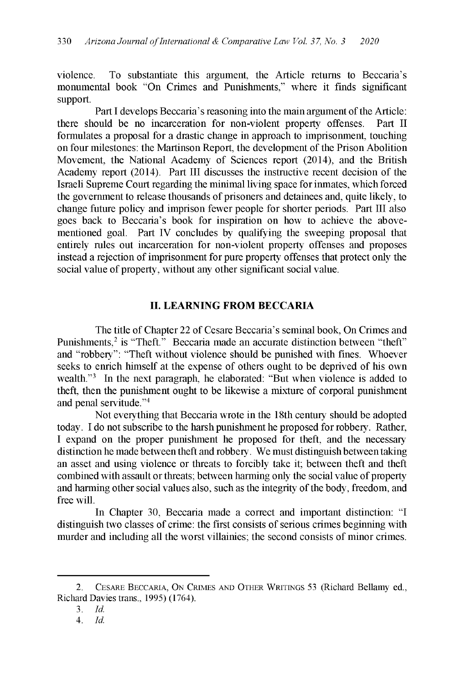violence. To substantiate this argument, the Article returns to Beccaria's monumental book "On Crimes and Punishments," where it finds significant support.

Part I develops Beccaria's reasoning into the main argument of the Article: there should be no incarceration for non-violent property offenses. Part II formulates a proposal for a drastic change in approach to imprisonment, touching on four milestones: the Martinson Report, the development of the Prison Abolition Movement, the National Academy of Sciences report (2014), and the British Academy report (2014). Part III discusses the instructive recent decision of the Israeli Supreme Court regarding the minimal living space for inmates, which forced the government to release thousands of prisoners and detainees and, quite likely, to change future policy and imprison fewer people for shorter periods. Part III also goes back to Beccaria's book for inspiration on how to achieve the abovementioned goal. Part IV concludes by qualifying the sweeping proposal that entirely rules out incarceration for non-violent property offenses and proposes instead a rejection of imprisonment for pure property offenses that protect only the social value of property, without any other significant social value.

## **II. LEARNING FROM BECCARIA**

The title of Chapter 22 of Cesare Beccaria's seminal book, On Crimes and Punishments,<sup>2</sup> is "Theft." Beccaria made an accurate distinction between "theft" and "robbery": "Theft without violence should be punished with fines. Whoever seeks to enrich himself at the expense of others ought to be deprived of his own wealth."<sup>3</sup> In the next paragraph, he elaborated: "But when violence is added to theft, then the punishment ought to be likewise a mixture of corporal punishment and penal servitude."<sup>4</sup>

Not everything that Beccaria wrote in the 18th century should be adopted today. I do not subscribe to the harsh punishment he proposed for robbery. Rather, I expand on the proper punishment he proposed for theft, and the necessary distinction he made between theft and robbery. We must distinguish between taking an asset and using violence or threats to forcibly take it; between theft and theft combined with assault or threats; between harming only the social value of property and harming other social values also, such as the integrity of the body, freedom, and free will.

In Chapter 30, Beccaria made a correct and important distinction: "I distinguish two classes of crime: the first consists of serious crimes beginning with murder and including all the worst villainies; the second consists of minor crimes.

<sup>2.</sup> CESARE BECCARIA, ON CRIMES AND OTHER WRITINGS 53 (Richard Bellamy ed., Richard Davies trans., 1995) (1764).

<sup>3.</sup> *Id.*

*<sup>4.</sup> Id.*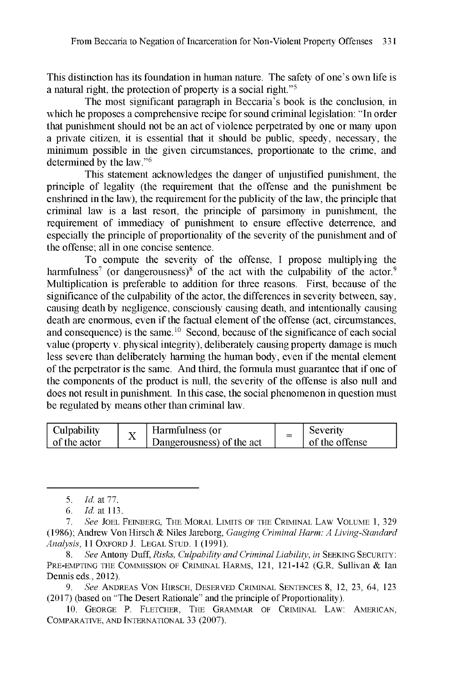This distinction has its foundation in human nature. The safety of one's own life is a natural right, the protection of property is a social right."<sup>5</sup>

The most significant paragraph in Beccaria's book is the conclusion, in which he proposes a comprehensive recipe for sound criminal legislation: "In order that punishment should not be an act of violence perpetrated by one or many upon a private citizen, it is essential that it should be public, speedy, necessary, the minimum possible in the given circumstances, proportionate to the crime, and determined by the law."<sup>6</sup>

This statement acknowledges the danger of unjustified punishment, the principle of legality (the requirement that the offense and the punishment be enshrined in the law), the requirement for the publicity of the law, the principle that criminal law is a last resort, the principle of parsimony in punishment, the requirement of immediacy of punishment to ensure effective deterrence, and especially the principle of proportionality of the severity of the punishment and of the offense; all in one concise sentence.

To compute the severity of the offense, I propose multiplying the harmfulness<sup>7</sup> (or dangerousness)<sup>8</sup> of the act with the culpability of the actor.<sup>9</sup> Multiplication is preferable to addition for three reasons. First, because of the significance of the culpability of the actor, the differences in severity between, say, causing death by negligence, consciously causing death, and intentionally causing death are enormous, even if the factual element of the offense (act, circumstances, and consequence) is the same.  $10$  Second, because of the significance of each social value (property v. physical integrity), deliberately causing property damage is much less severe than deliberately harming the human body, even if the mental element of the perpetrator is the same. And third, the formula must guarantee that if one of the components of the product is null, the severity of the offense is also null and does not result in punishment. In this case, the social phenomenon in question must be regulated by means other than criminal law.

| Culpability  |  | Harmfulness (or           | Severity       |
|--------------|--|---------------------------|----------------|
| of the actor |  | Dangerousness) of the act | of the offense |

*9.* See ANDREAS VON HIRSCH, DESERVED CRIMINAL SENTENCES 8, 12, 23, 64, 123 (2017) (based on "The Desert Rationale" and the principle of Proportionality).

10. GEORGE P. FLETCHER, THE GRAMMAR OF CRIMINAL LAW: AMERICAN, COMPARATIVE, AND INTERNATIONAL 33 (2007).

*<sup>5.</sup>* Id. at *77.*

*<sup>6.</sup> Id.* at 113.

*<sup>7.</sup> See* JOEL FEINBERG, THE MORAL LIMITS OF THE CRIMINAL LAW VOLUME 1, 329 (1986); Andrew Von Hirsch & Niles Jareborg, *Gauging* Criminal *Harm: A Living-Standard Analysis,* 11 OXFORD J. LEGAL STUD. 1 (1991).

*<sup>8.</sup> See* Antony Duff, *Risks, Culpability and* Criminal Liability, in SEEKING SECURITY: PRE-EMPTING THE COMMISSION OF CRIMINAL HARMS, 121, 121-142 (G.R. Sullivan & Ian Dennis eds., 2012).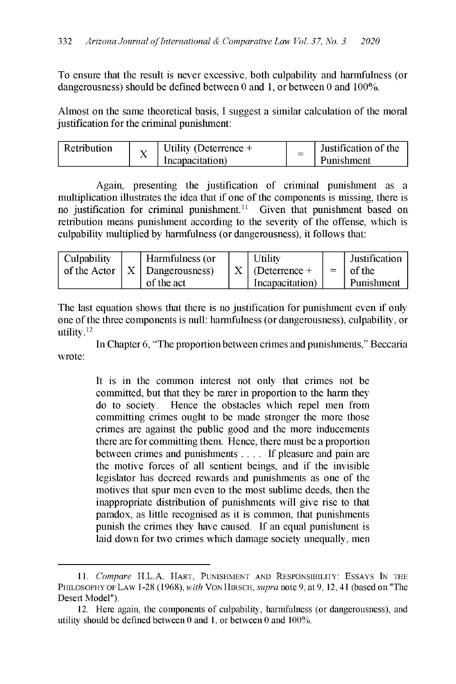To ensure that the result is never excessive, both culpability and harmfulness (or dangerousness) should be defined between 0 and 1, or between 0 and 100%.

Almost on the same theoretical basis, I suggest a similar calculation of the moral justification for the criminal punishment:

| Retribution | Utility (Deterrence $+$ | $\overline{\phantom{a}}$ | Justification of the |
|-------------|-------------------------|--------------------------|----------------------|
| л           | Incapacitation)         |                          | Punishment           |

Again, presenting the justification of criminal punishment as a multiplication illustrates the idea that if one of the components is missing, there is no justification for criminal punishment.<sup>11</sup> Given that punishment based on retribution means punishment according to the severity of the offense, which is culpability multiplied by harmfulness (or dangerousness), it follows that:

| Culpability<br>of the Actor |  | Harmfulness (or<br>$\vert X \vert$ Dangerousness)<br>of the act |  | Utility<br>$X \mid$ (Deterrence +<br>Incapacitation) |  | Justification<br>of the<br>Punishment |
|-----------------------------|--|-----------------------------------------------------------------|--|------------------------------------------------------|--|---------------------------------------|
|-----------------------------|--|-----------------------------------------------------------------|--|------------------------------------------------------|--|---------------------------------------|

The last equation shows that there is no justification for punishment even if only one of the three components is null: harmfulness (or dangerousness), culpability, or utility.<sup>12</sup>

In Chapter 6, "The proportion between crimes and punishments," Beccaria wrote:

> It is in the common interest not only that crimes not be committed, but that they be rarer in proportion to the harm they do to society. Hence the obstacles which repel men from committing crimes ought to be made stronger the more those crimes are against the public good and the more inducements there are for committing them. Hence, there must be a proportion between crimes and punishments . . . . If pleasure and pain are the motive forces of all sentient beings, and if the invisible legislator has decreed rewards and punishments as one of the motives that spur men even to the most sublime deeds, then the inappropriate distribution of punishments will give rise to that paradox, as little recognised as it is common, that punishments punish the crimes they have caused. If an equal punishment is laid down for two crimes which damage society unequally, men

<sup>11.</sup> *Compare* H.L.A. HART, PUNISHMENT AND RESPONSIBILITY: ESSAYS IN THE PHILOSOPHY OF LAW 1-28 (1968), *with* VON HIRSCH, *supra* note *9,* at 9, 12, 41 (based on "The Desert Model").

<sup>12.</sup> Here again, the components of culpability, harmfulness (or dangerousness), and utility should be defined between 0 and 1, or between 0 and 100%.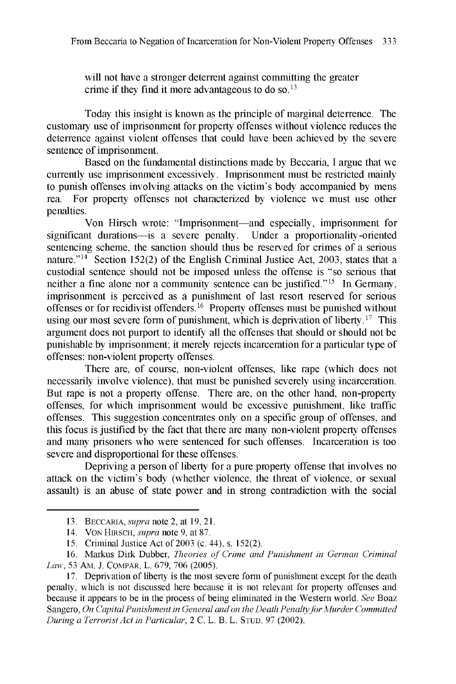will not have a stronger deterrent against committing the greater crime if they find it more advantageous to do so.  $13$ 

Today this insight is known as the principle of marginal deterrence. The customary use of imprisonment for property offenses without violence reduces the deterrence against violent offenses that could have been achieved by the severe sentence of imprisonment.

Based on the fundamental distinctions made by Beccaria, I argue that we currently use imprisonment excessively. Imprisonment must be restricted mainly to punish offenses involving attacks on the victim's body accompanied by mens rea. For property offenses not characterized by violence we must use other penalties.

Von Hirsch wrote: "Imprisonment-and especially, imprisonment for significant durations-is a severe penalty. Under a proportionality-oriented sentencing scheme, the sanction should thus be reserved for crimes of a serious nature."<sup>14</sup> Section 152(2) of the English Criminal Justice Act, 2003, states that a custodial sentence should not be imposed unless the offense is "so serious that neither a fine alone nor a community sentence can be justified."<sup>15</sup> In Germany, imprisonment is perceived as a punishment of last resort reserved for serious offenses or for recidivist offenders.  $16$  Property offenses must be punished without using our most severe form of punishment, which is deprivation of liberty.<sup>17</sup> This argument does not purport to identify all the offenses that should or should not be punishable by imprisonment; it merely rejects incarceration for a particular type of offenses: non-violent property offenses.

There are, of course, non-violent offenses, like rape (which does not necessarily involve violence), that must be punished severely using incarceration. But rape is not a property offense. There are, on the other hand, non-property offenses, for which imprisonment would be excessive punishment, like traffic offenses. This suggestion concentrates only on a specific group of offenses, and this focus is justified by the fact that there are many non-violent property offenses and many prisoners who were sentenced for such offenses. Incarceration is too severe and disproportional for these offenses.

Depriving a person of liberty for a pure property offense that involves no attack on the victim's body (whether violence, the threat of violence, or sexual assault) is an abuse of state power and in strong contradiction with the social

<sup>13.</sup> BECCARIA, *supra* note 2, at 19, 21.

<sup>14.</sup> VON HIRSCH, *supra* note *9,* at 87.

<sup>15.</sup> Criminal Justice Act of 2003 (c. 44), s. 152(2).

<sup>16.</sup> Markus Dirk Dubber, *Theories of Crime and Punishment in German Criminal Law,* 53 AM. J. COMPAR. L. **679, 706** (2005).

<sup>17.</sup> Deprivation of liberty is the most severe form of punishment except for the death penalty, which is not discussed here because it is not relevant for property offenses and because it appears to be in the process of being eliminated in the Western world. *See* Boaz Sangero, *On Capital Punishment in General and on the Death Penalty for Murder Committed During a TerroristAct in Particular,* 2 C. L. B. L. STUD. 97 (2002).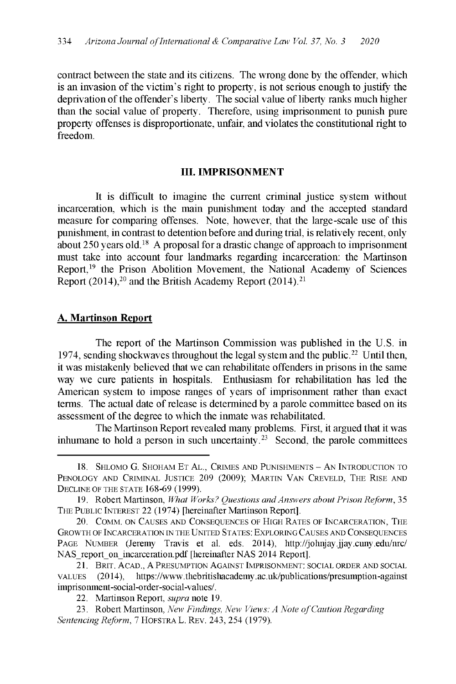contract between the state and its citizens. The wrong done by the offender, which is an invasion of the victim's right to property, is not serious enough to justify the deprivation of the offender's liberty. The social value of liberty ranks much higher than the social value of property. Therefore, using imprisonment to punish pure property offenses is disproportionate, unfair, and violates the constitutional right to freedom.

#### **III. IMPRISONMENT**

It is difficult to imagine the current criminal justice system without incarceration, which is the main punishment today and the accepted standard measure for comparing offenses. Note, however, that the large-scale use of this punishment, in contrast to detention before and during trial, is relatively recent, only about 250 years old.<sup>18</sup> A proposal for a drastic change of approach to imprisonment must take into account four landmarks regarding incarceration: the Martinson Report,<sup>19</sup> the Prison Abolition Movement, the National Academy of Sciences Report  $(2014)$ ,<sup>20</sup> and the British Academy Report  $(2014)$ ,<sup>21</sup>

#### **A. Martinson Report**

The report of the Martinson Commission was published in the U.S. in 1974, sending shockwaves throughout the legal system and the public.<sup>22</sup> Until then, it was mistakenly believed that we can rehabilitate offenders in prisons in the same way we cure patients in hospitals. Enthusiasm for rehabilitation has led the American system to impose ranges of years of imprisonment rather than exact terms. The actual date of release is determined by a parole committee based on its assessment of the degree to which the inmate was rehabilitated.

The Martinson Report revealed many problems. First, it argued that it was inhumane to hold a person in such uncertainty.<sup>23</sup> Second, the parole committees

<sup>18.</sup> SHLOMO G. SHOHAM ET AL., CRIMES AND PUNISHMENTS - AN INTRODUCTION TO PENOLOGY AND CRIMINAL JUSTICE 209 (2009); MARTIN VAN CREVELD, THE RISE AND DECLINE OF THE STATE 168-69 (1999).

<sup>19.</sup> Robert Martinson, *What Works? Questions and Answers about Prison Reform,* 35 THE PUBLIC INTEREST 22 (1974) [hereinafter Martinson Report].

<sup>20.</sup> COMM. ON CAUSES AND CONSEQUENCES OF HIGH RATES OF INCARCERATION, THE GROWTH OF INCARCERATION IN THE UNITED STATES: EXPLORING CAUSES AND CONSEQUENCES PAGE NUMBER (Jeremy Travis et al. eds. 2014), http://johnjay.jjay.cuny.edu/nrc/ NAS report on incarceration.pdf [hereinafter NAS 2014 Report].

<sup>21.</sup> BRIT. ACAD., A PRESUMPTION AGAINST IMPRISONMENT: SOCIAL ORDER AND SOCIAL VALUES (2014), https://www.thebritishacademy.ac.uk/publications/presumption-against imprisonment-social-order-social-values/.

<sup>22.</sup> Martinson Report, *supra* note 19.

<sup>23.</sup> Robert Martinson, *New Findings, New Views: A Note of Caution Regarding Sentencing Reform,* 7 HOFSTRA L. REV. 243, 254 (1979).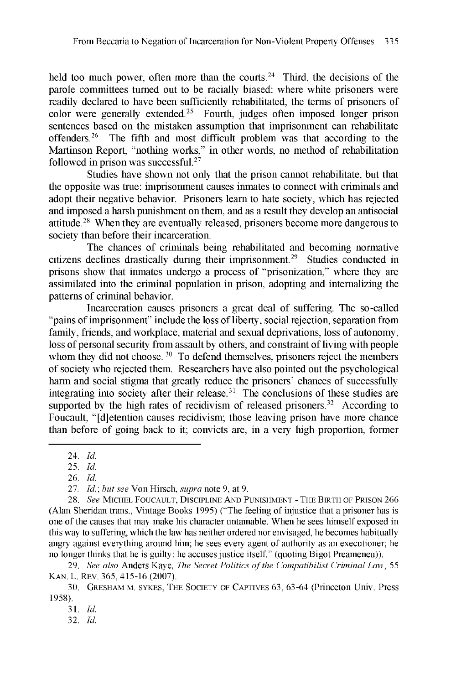held too much power, often more than the courts.<sup>24</sup> Third, the decisions of the parole committees turned out to be racially biased: where white prisoners were readily declared to have been sufficiently rehabilitated, the terms of prisoners of color were generally extended.<sup>25</sup> Fourth, judges often imposed longer prison sentences based on the mistaken assumption that imprisonment can rehabilitate offenders.<sup>26</sup> The fifth and most difficult problem was that according to the Martinson Report, "nothing works," in other words, no method of rehabilitation followed in prison was successful. $27$ 

Studies have shown not only that the prison cannot rehabilitate, but that the opposite was true: imprisonment causes inmates to connect with criminals and adopt their negative behavior. Prisoners learn to hate society, which has rejected and imposed a harsh punishment on them, and as a result they develop an antisocial attitude. <sup>28</sup>When they are eventually released, prisoners become more dangerous to society than before their incarceration.

The chances of criminals being rehabilitated and becoming normative citizens declines drastically during their imprisonment.<sup>29</sup> Studies conducted in prisons show that inmates undergo a process of "prisonization," where they are assimilated into the criminal population in prison, adopting and internalizing the patterns of criminal behavior.

Incarceration causes prisoners a great deal of suffering. The so-called "pains of imprisonment" include the loss of liberty, social rejection, separation from family, friends, and workplace, material and sexual deprivations, loss of autonomy, loss of personal security from assault by others, and constraint of living with people whom they did not choose.<sup>30</sup> To defend themselves, prisoners reject the members of society who rejected them. Researchers have also pointed out the psychological harm and social stigma that greatly reduce the prisoners' chances of successfully integrating into society after their release.<sup>31</sup> The conclusions of these studies are supported by the high rates of recidivism of released prisoners.<sup>32</sup> According to Foucault, "[d]etention causes recidivism; those leaving prison have more chance than before of going back to it; convicts are, in a very high proportion, former

*32. Id.*

<sup>24.</sup> *Id.*

*<sup>25.</sup> Id.*

<sup>26.</sup> *Id.*

*<sup>27.</sup> Id.; but see* Von Hirsch, *supra* note 9, at 9.

*<sup>28.</sup> See* MICHEL FOUCAULT, DISCIPLINE AND PUNISHMENT - THE BIRTH OF PRISON 266 (Alan Sheridan trans., Vintage Books 1995) ("The feeling of injustice that a prisoner has is one of the causes that may make his character untamable. When he sees himself exposed in this way to suffering, which the law has neither ordered nor envisaged, he becomes habitually angry against everything around him; he sees every agent of authority as an executioner; he no longer thinks that he is guilty: he accuses justice itself." (quoting Bigot Preameneu)).

*<sup>29.</sup> See also* Anders Kaye, *The Secret Politics of the Compatibilist Criminal Law,* 55 KAN. L. REv. 365, 415-16 (2007).

<sup>30.</sup> GRESHAM M. SYKES, THE SOCIETY OF CAPTIVES 63, 63-64 (Princeton Univ. Press 1958).

<sup>31.</sup> *Id.*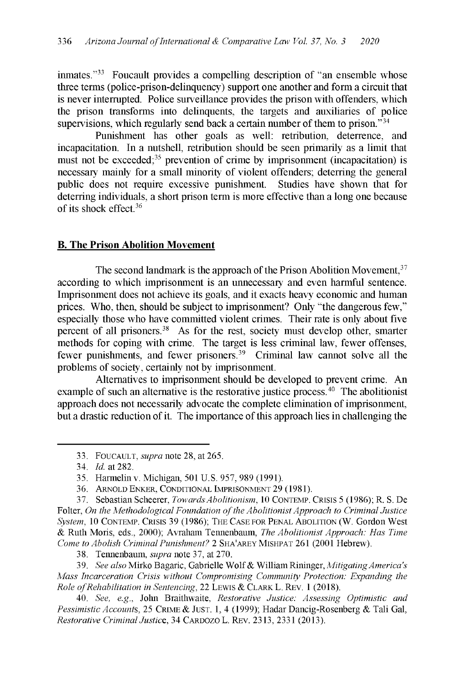inmates."<sup>33</sup> Foucault provides a compelling description of "an ensemble whose three terms (police-prison-delinquency) support one another and form a circuit that is never interrupted. Police surveillance provides the prison with offenders, which the prison transforms into delinquents, the targets and auxiliaries of police supervisions, which regularly send back a certain number of them to prison.<sup> $34$ </sup>

Punishment has other goals as well: retribution, deterrence, and incapacitation. In a nutshell, retribution should be seen primarily as a limit that must not be exceeded; $35$  prevention of crime by imprisonment (incapacitation) is necessary mainly for a small minority of violent offenders; deterring the general public does not require excessive punishment. Studies have shown that for deterring individuals, a short prison term is more effective than a long one because of its shock effect.<sup>36</sup>

## **B. The Prison Abolition Movement**

The second landmark is the approach of the Prison Abolition Movement, 37 according to which imprisonment is an unnecessary and even harmful sentence. Imprisonment does not achieve its goals, and it exacts heavy economic and human prices. Who, then, should be subject to imprisonment? Only "the dangerous few," especially those who have committed violent crimes. Their rate is only about five percent of all prisoners.<sup>38</sup> As for the rest, society must develop other, smarter methods for coping with crime. The target is less criminal law, fewer offenses, fewer punishments, and fewer prisoners.<sup>39</sup> Criminal law cannot solve all the problems of society, certainly not by imprisonment.

Alternatives to imprisonment should be developed to prevent crime. An example of such an alternative is the restorative justice process.<sup>40</sup> The abolitionist approach does not necessarily advocate the complete elimination of imprisonment, but a drastic reduction of it. The importance of this approach lies in challenging the

<sup>33.</sup> FOUCAULT, *supra* note 28, at 265.

*<sup>34.</sup> Id.* at 282.

<sup>35.</sup> Harmelinv. Michigan, 501 U.S. 957, 989 (1991).

<sup>36.</sup> ARNOLD ENKER, CONDITIONAL IMPRISONMENT 29 (1981).

<sup>37.</sup> Sebastian Scheerer, *Towards Abolitionism,* 10 CONTEMP. CRISIS 5 (1986); R. S. De Folter, *On the Methodological Foundation of the Abolitionist Approach to Criminal Justice System,* 10 CONTEMP. CRISIS 39 (1986); THE CASE FOR PENAL ABOLITION (W. Gordon West *&* Ruth Moris, eds., 2000); Avraham Tennenbaum, *The Abolitionist Approach: Has Time Come to Abolish Criminal Punishment? 2* SHA'AREY MISHPAT 261 (2001 Hebrew).

<sup>38.</sup> Tennenbaum, *supra* note 37, at 270.

<sup>39.</sup> *See also* Mirko Bagaric, Gabrielle Wolf & William Rininger, *Mitigating America's Mass Incarceration Crisis without Compromising Community Protection: Expanding the Role ofRehabilitation in Sentencing,* 22 LEWIS *&* CLARK L. REv. 1 (2018).

*<sup>40.</sup> See, e.g.,* John Braithwaite, *Restorative Justice: Assessing Optimistic and Pessimistic Accounts, 25* CRIME *&* JUST. 1, 4 (1999); Hadar Dancig-Rosenberg & Tali Gal, *Restorative Criminal Justice, 34* CARDOZO L. REv. 2313, 2331 (2013).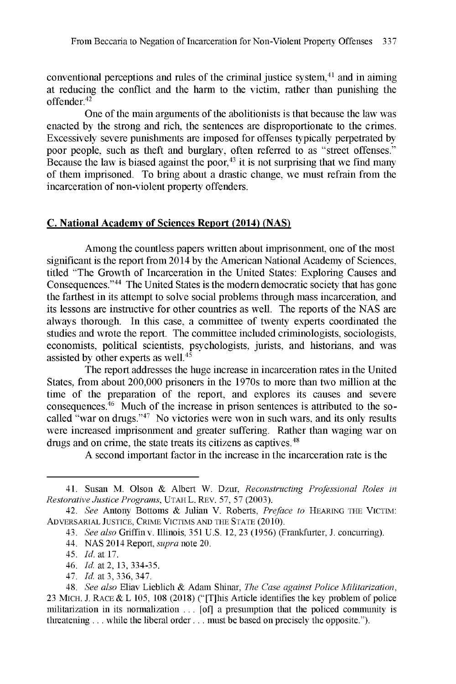conventional perceptions and rules of the criminal justice system, $4<sup>1</sup>$  and in aiming at reducing the conflict and the harm to the victim, rather than punishing the offender.42

One of the main arguments of the abolitionists is that because the law was enacted by the strong and rich, the sentences are disproportionate to the crimes. Excessively severe punishments are imposed for offenses typically perpetrated by poor people, such as theft and burglary, often referred to as "street offenses." Because the law is biased against the poor, $43$  it is not surprising that we find many of them imprisoned. To bring about a drastic change, we must refrain from the incarceration of non-violent property offenders.

## **C. National Academy of Sciences Report (2014) (NAS)**

Among the countless papers written about imprisonment, one of the most significant is the report from 2014 by the American National Academy of Sciences, titled "The Growth of Incarceration in the United States: Exploring Causes and Consequences."<sup>44</sup> The United States is the modern democratic society that has gone the farthest in its attempt to solve social problems through mass incarceration, and its lessons are instructive for other countries as well. The reports of the NAS are always thorough. In this case, a committee of twenty experts coordinated the studies and wrote the report. The committee included criminologists, sociologists, economists, political scientists, psychologists, jurists, and historians, and was assisted by other experts as well.<sup>45</sup>

The report addresses the huge increase in incarceration rates in the United States, from about 200,000 prisoners in the 1970s to more than two million at the time of the preparation of the report, and explores its causes and severe consequences. $46$  Much of the increase in prison sentences is attributed to the socalled "war on drugs."<sup>47</sup> No victories were won in such wars, and its only results were increased imprisonment and greater suffering. Rather than waging war on drugs and on crime, the state treats its citizens as captives.<sup>48</sup>

A second important factor in the increase in the incarceration rate is the

<sup>41.</sup> Susan M. Olson & Albert W. Dzur, *Reconstructing Professional Roles in Restorative Justice Programs,* UTAH L. REV. 57, 57 (2003).

*<sup>42.</sup> See* Antony Bottoms & Julian V. Roberts, *Preface to* HEARING THE VICTIM: ADVERSARIAL JUSTICE, CRIME VICTIMS AND THE STATE (2010).

*<sup>43.</sup> See also* Griffin v. Illinois, 351 U.S. 12, 23 (1956) (Frankfurter, J. concurring).

*<sup>44.</sup>* NAS 2014 Report, *supra* note 20.

*<sup>45.</sup> Id.* at 17.

*<sup>46.</sup> Id.* at 2, 13, 334-35.

*<sup>47.</sup> Id.* at 3, 336, 347.

*<sup>48.</sup> See also* Eliav Lieblich & Adam Shinar, *The Case against Police Militarization,* 23 MICH. J. RACE & L 105, 108 (2018) ("[T]his Article identifies the key problem of police militarization in its normalization ... [of] a presumption that the policed community is threatening ... while the liberal order ... must be based on precisely the opposite.").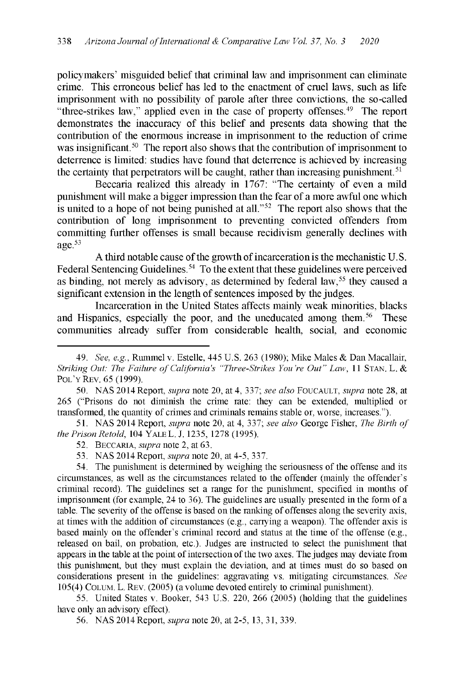policymakers' misguided belief that criminal law and imprisonment can eliminate crime. This erroneous belief has led to the enactment of cruel laws, such as life imprisonment with no possibility of parole after three convictions, the so-called "three-strikes law," applied even in the case of property offenses. $49$  The report demonstrates the inaccuracy of this belief and presents data showing that the contribution of the enormous increase in imprisonment to the reduction of crime was insignificant.<sup>50</sup> The report also shows that the contribution of imprisonment to deterrence is limited: studies have found that deterrence is achieved by increasing the certainty that perpetrators will be caught, rather than increasing punishment.  $51$ 

Beccaria realized this already in 1767: "The certainty of even a mild punishment will make a bigger impression than the fear of a more awful one which is united to a hope of not being punished at all." $52$  The report also shows that the contribution of long imprisonment to preventing convicted offenders from committing further offenses is small because recidivism generally declines with age. $53$ 

A third notable cause of the growth of incarceration is the mechanistic U.S. Federal Sentencing Guidelines.<sup>54</sup> To the extent that these guidelines were perceived as binding, not merely as advisory, as determined by federal law,<sup>55</sup> they caused a significant extension in the length of sentences imposed by the judges.

Incarceration in the United States affects mainly weak minorities, blacks and Hispanics, especially the poor, and the uneducated among them.<sup>56</sup> These communities already suffer from considerable health, social, and economic

51. NAS 2014 Report, *supra* note 20, at 4, 337; *see also* George Fisher, *The Birth of the Prison Retold,* 104 YALE L. J. 1235, 1278 (1995).

55. United States v. Booker, 543 U.S. 220, 266 (2005) (holding that the guidelines have only an advisory effect).

*<sup>49.</sup> See, e.g.,* Rummel v. Estelle, 445 U.S. 263 (1980); Mike Males **&** Dan Macallair, *Striking Out: The Failure of California's "Three-Strikes You're Out" Law, 11 STAN. L. &* POL'Y REV. 65 (1999).

<sup>50.</sup> NAS 2014 Report, *supra* note 20, at 4, 337; *see also* FOUCAULT, *supra* note 28, at 265 ("Prisons do not diminish the crime rate: they can be extended, multiplied or transformed, the quantity of crimes and criminals remains stable or, worse, increases.").

<sup>52.</sup> BECCARIA, *supra* note 2, at 63.

<sup>53.</sup> NAS 2014 Report, *supra* note 20, at 4-5, 337.

<sup>54.</sup> The punishment is determined by weighing the seriousness of the offense and its circumstances, as well as the circumstances related to the offender (mainly the offender's criminal record). The guidelines set a range for the punishment, specified in months of imprisonment (for example, 24 to 36). The guidelines are usually presented in the form of a table. The severity of the offense is based on the ranking of offenses along the severity axis, at times with the addition of circumstances (e.g., carrying a weapon). The offender axis is based mainly on the offender's criminal record and status at the time of the offense (e.g., released on bail, on probation, etc.). Judges are instructed to select the punishment that appears in the table at the point of intersection of the two axes. The judges may deviate from this punishment, but they must explain the deviation, and at times must do so based on considerations present in the guidelines: aggravating vs. mitigating circumstances. *See* 105(4) COLUM. L. REV. (2005) (a volume devoted entirely to criminal punishment).

<sup>56.</sup> NAS 2014 Report, *supra* note 20, at 2-5, 13, 31, 339.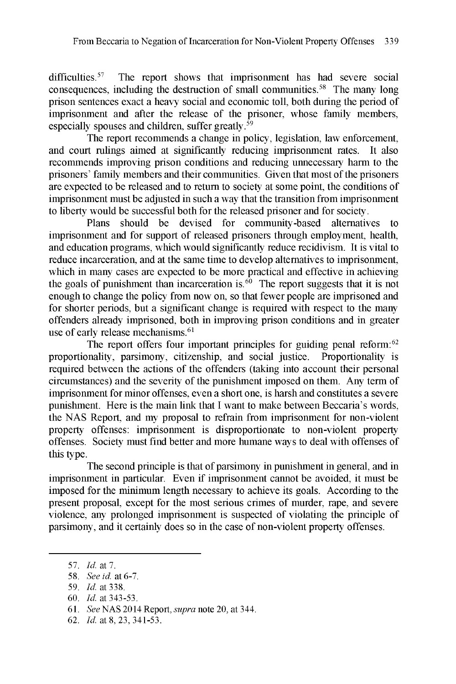difficulties.<sup>57</sup> The report shows that imprisonment has had severe social consequences, including the destruction of small communities.<sup>58</sup> The many long prison sentences exact a heavy social and economic toll, both during the period of imprisonment and after the release of the prisoner, whose family members, especially spouses and children, suffer greatly.<sup>59</sup>

The report recommends a change in policy, legislation, law enforcement, and court rulings aimed at significantly reducing imprisonment rates. It also recommends improving prison conditions and reducing unnecessary harm to the prisoners' family members and their communities. Given that most of the prisoners are expected to be released and to return to society at some point, the conditions of imprisonment must be adjusted in such a way that the transition from imprisonment to liberty would be successful both for the released prisoner and for society.

Plans should be devised for community-based alternatives to imprisonment and for support of released prisoners through employment, health, and education programs, which would significantly reduce recidivism. It is vital to reduce incarceration, and at the same time to develop alternatives to imprisonment, which in many cases are expected to be more practical and effective in achieving the goals of punishment than incarceration is.<sup>60</sup> The report suggests that it is not enough to change the policy from now on, so that fewer people are imprisoned and for shorter periods, but a significant change is required with respect to the many offenders already imprisoned, both in improving prison conditions and in greater use of early release mechanisms. $61$ 

The report offers four important principles for guiding penal reform: $62$ proportionality, parsimony, citizenship, and social justice. Proportionality is required between the actions of the offenders (taking into account their personal circumstances) and the severity of the punishment imposed on them. Any term of imprisonment for minor offenses, even a short one, is harsh and constitutes a severe punishment. Here is the main link that I want to make between Beccaria's words, the NAS Report, and my proposal to refrain from imprisonment for non-violent property offenses: imprisonment is disproportionate to non-violent property offenses. Society must find better and more humane ways to deal with offenses of this type.

The second principle is that of parsimony in punishment in general, and in imprisonment in particular. Even if imprisonment cannot be avoided, it must be imposed for the minimum length necessary to achieve its goals. According to the present proposal, except for the most serious crimes of murder, rape, and severe violence, any prolonged imprisonment is suspected of violating the principle of parsimony, and it certainly does so in the case of non-violent property offenses.

60. *Id.* at 343-53.

62. *Id.* at 8, 23, 341-53.

*<sup>57.</sup> Id.* at 7.

<sup>58.</sup> *See id.* at 6-7.

<sup>59.</sup> *Id.* at 338.

<sup>61.</sup> *See* NAS 2014 Report, *supra* note 20, at 344.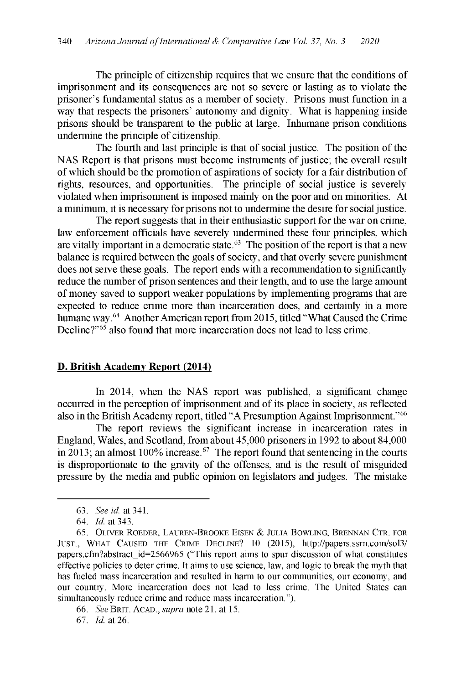The principle of citizenship requires that we ensure that the conditions of imprisonment and its consequences are not so severe or lasting as to violate the prisoner's fundamental status as a member of society. Prisons must function in a way that respects the prisoners' autonomy and dignity. What is happening inside prisons should be transparent to the public at large. Inhumane prison conditions undermine the principle of citizenship.

The fourth and last principle is that of social justice. The position of the NAS Report is that prisons must become instruments of justice; the overall result of which should be the promotion of aspirations of society for a fair distribution of rights, resources, and opportunities. The principle of social justice is severely violated when imprisonment is imposed mainly on the poor and on minorities. At a minimum, it is necessary for prisons not to undermine the desire for social justice.

The report suggests that in their enthusiastic support for the war on crime, law enforcement officials have severely undermined these four principles, which are vitally important in a democratic state.63 The position of the report is that a new balance is required between the goals of society, and that overly severe punishment does not serve these goals. The report ends with a recommendation to significantly reduce the number of prison sentences and their length, and to use the large amount of money saved to support weaker populations by implementing programs that are expected to reduce crime more than incarceration does, and certainly in a more humane way.<sup>64</sup> Another American report from 2015, titled "What Caused the Crime Decline? $10^{5}$  also found that more incarceration does not lead to less crime.

## **D. British Academy Report (2014)**

In 2014, when the NAS report was published, a significant change occurred in the perception of imprisonment and of its place in society, as reflected also in the British Academy report, titled "A Presumption Against Imprisonment."66

The report reviews the significant increase in incarceration rates in England, Wales, and Scotland, from about 45,000 prisoners in 1992 to about 84,000 in 2013; an almost 100% increase.  $67$  The report found that sentencing in the courts is disproportionate to the gravity of the offenses, and is the result of misguided pressure by the media and public opinion on legislators and judges. The mistake

<sup>63.</sup> *See id.* at 341.

*<sup>64.</sup> Id.* at 343.

<sup>65.</sup> OLIVER ROEDER, LAUREN-BROOKE EISEN *&* JULIA BOWLING, BRENNAN CTR. FOR JUST., WHAT CAUSED THE CRIME DECLINE? 10 (2015), http://papers.ssrn.com/sol3/ papers.cfm?abstract id=2566965 ("This report aims to spur discussion of what constitutes effective policies to deter crime. It aims to use science, law, and logic to break the myth that has fueled mass incarceration and resulted in harm to our communities, our economy, and our country. More incarceration does not lead to less crime. The United States can simultaneously reduce crime and reduce mass incarceration.").

<sup>66.</sup> *See* BRIT. ACAD., *supra* note 21, at 15.

*<sup>67.</sup> Id.* at 26.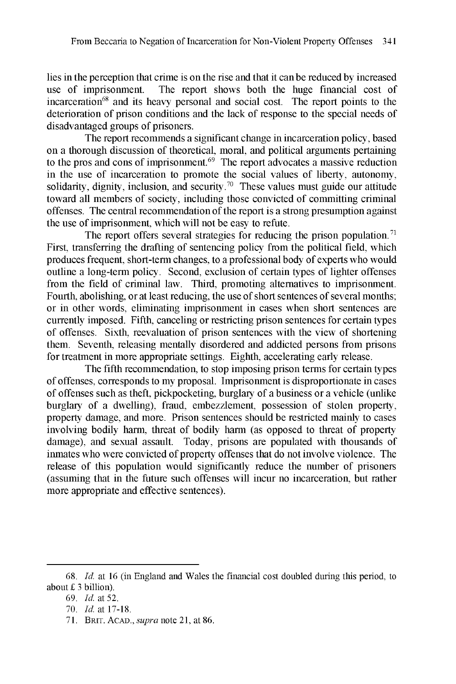lies in the perception that crime is on the rise and that it can be reduced by increased use of imprisonment. The report shows both the huge financial cost of incarceration<sup>68</sup> and its heavy personal and social cost. The report points to the deterioration of prison conditions and the lack of response to the special needs of disadvantaged groups of prisoners.

The report recommends a significant change in incarceration policy, based on a thorough discussion of theoretical, moral, and political arguments pertaining to the pros and cons of imprisonment. $69$  The report advocates a massive reduction in the use of incarceration to promote the social values of liberty, autonomy, solidarity, dignity, inclusion, and security.<sup>70</sup> These values must guide our attitude toward all members of society, including those convicted of committing criminal offenses. The central recommendation of the report is a strong presumption against the use of imprisonment, which will not be easy to refute.

The report offers several strategies for reducing the prison population.<sup>71</sup> First, transferring the drafting of sentencing policy from the political field, which produces frequent, short-term changes, to a professional body of experts who would outline a long-term policy. Second, exclusion of certain types of lighter offenses from the field of criminal law. Third, promoting alternatives to imprisonment. Fourth, abolishing, or at least reducing, the use of short sentences of several months; or in other words, eliminating imprisonment in cases when short sentences are currently imposed. Fifth, canceling or restricting prison sentences for certain types of offenses. Sixth, reevaluation of prison sentences with the view of shortening them. Seventh, releasing mentally disordered and addicted persons from prisons for treatment in more appropriate settings. Eighth, accelerating early release.

The fifth recommendation, to stop imposing prison terms for certain types of offenses, corresponds to my proposal. Imprisonment is disproportionate in cases of offenses such as theft, pickpocketing, burglary of a business or a vehicle (unlike burglary of a dwelling), fraud, embezzlement, possession of stolen property, property damage, and more. Prison sentences should be restricted mainly to cases involving bodily harm, threat of bodily harm (as opposed to threat of property damage), and sexual assault. Today, prisons are populated with thousands of inmates who were convicted of property offenses that do not involve violence. The release of this population would significantly reduce the number of prisoners (assuming that in the future such offenses will incur no incarceration, but rather more appropriate and effective sentences).

<sup>68.</sup> *Id.* at 16 (in England and Wales the financial cost doubled during this period, to about  $£ 3$  billion).

*<sup>69.</sup> Id.* at 52.

*<sup>70.</sup> Id.* at 17-18.

<sup>71.</sup> BRIT. ACAD., *supra* note 21, at 86.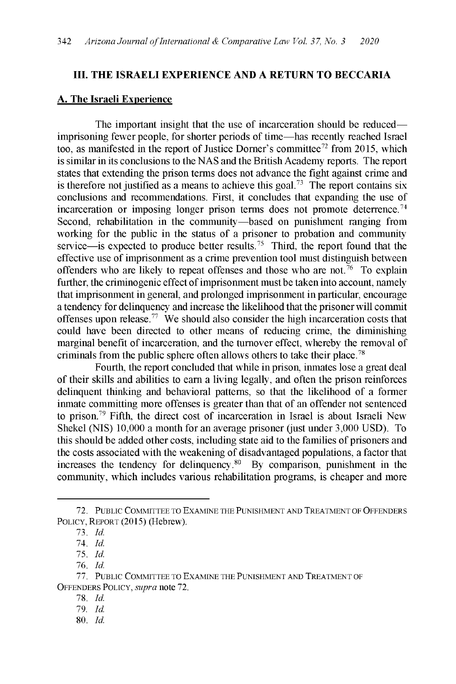#### **III. THE ISRAELI EXPERIENCE AND A RETURN TO BECCARIA**

#### **A. The Israeli Experience**

The important insight that the use of incarceration should be reduced imprisoning fewer people, for shorter periods of time-has recently reached Israel too, as manifested in the report of Justice Dorner's committee<sup>72</sup> from 2015, which is similar in its conclusions to the NAS and the British Academy reports. The report states that extending the prison terms does not advance the fight against crime and is therefore not justified as a means to achieve this goal.<sup>73</sup> The report contains six conclusions and recommendations. First, it concludes that expanding the use of incarceration or imposing longer prison terms does not promote deterrence.<sup>74</sup> Second, rehabilitation in the community-based on punishment ranging from working for the public in the status of a prisoner to probation and community service—is expected to produce better results.<sup>75</sup> Third, the report found that the effective use of imprisonment as a crime prevention tool must distinguish between offenders who are likely to repeat offenses and those who are not.  $\tilde{a}$  To explain further, the criminogenic effect of imprisonment must be taken into account, namely that imprisonment in general, and prolonged imprisonment in particular, encourage a tendency for delinquency and increase the likelihood that the prisoner will commit offenses upon release.<sup>77</sup> We should also consider the high incarceration costs that could have been directed to other means of reducing crime, the diminishing marginal benefit of incarceration, and the turnover effect, whereby the removal of criminals from the public sphere often allows others to take their place. <sup>7</sup><sup>8</sup>

Fourth, the report concluded that while in prison, inmates lose a great deal of their skills and abilities to earn a living legally, and often the prison reinforces delinquent thinking and behavioral patterns, so that the likelihood of a former inmate committing more offenses is greater than that of an offender not sentenced to prison.79 Fifth, the direct cost of incarceration in Israel is about Israeli New Shekel (NIS) 10,000 a month for an average prisoner (just under 3,000 USD). To this should be added other costs, including state aid to the families of prisoners and the costs associated with the weakening of disadvantaged populations, a factor that increases the tendency for delinquency. $80$  By comparison, punishment in the community, which includes various rehabilitation programs, is cheaper and more

80. *Id.*

<sup>72.</sup> PUBLIC COMMITTEE TO EXAMINE THE PUNISHMENT AND TREATMENT OF OFFENDERS POLICY, REPORT (2015) (Hebrew).

<sup>73.</sup> *Id.*

<sup>74.</sup> *Id.*

<sup>75.</sup> *Id.*

*<sup>76.</sup> Id.*

<sup>77.</sup> PUBLIC COMMITTEE TO EXAMINE THE PUNISHMENT AND TREATMENT OF OFFENDERS POLICY, *supra* note 72.

<sup>78.</sup> *Id.*

*<sup>79.</sup> Id.*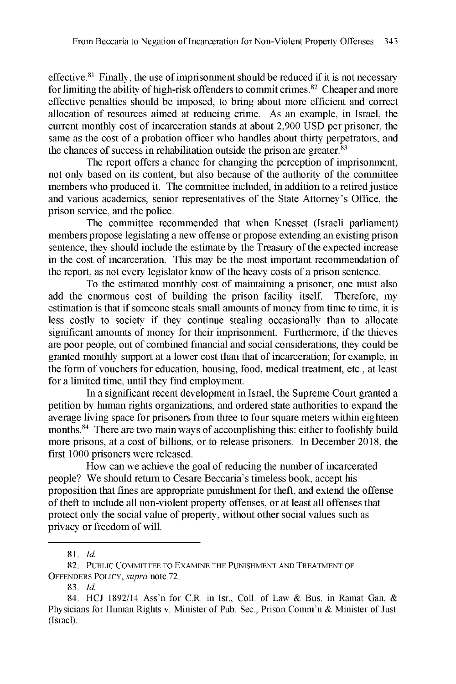effective. $81$  Finally, the use of imprisonment should be reduced if it is not necessary for limiting the ability of high-risk offenders to commit crimes.<sup>82</sup> Cheaper and more effective penalties should be imposed, to bring about more efficient and correct allocation of resources aimed at reducing crime. As an example, in Israel, the current monthly cost of incarceration stands at about 2,900 USD per prisoner, the same as the cost of a probation officer who handles about thirty perpetrators, and the chances of success in rehabilitation outside the prison are greater.<sup>83</sup>

The report offers a chance for changing the perception of imprisonment, not only based on its content, but also because of the authority of the committee members who produced it. The committee included, in addition to a retired justice and various academics, senior representatives of the State Attorney's Office, the prison service, and the police.

The committee recommended that when Knesset (Israeli parliament) members propose legislating a new offense or propose extending an existing prison sentence, they should include the estimate by the Treasury of the expected increase in the cost of incarceration. This may be the most important recommendation of the report, as not every legislator know of the heavy costs of a prison sentence.

To the estimated monthly cost of maintaining a prisoner, one must also add the enormous cost of building the prison facility itself. Therefore, my estimation is that if someone steals small amounts of money from time to time, it is less costly to society if they continue stealing occasionally than to allocate significant amounts of money for their imprisonment. Furthermore, if the thieves are poor people, out of combined financial and social considerations, they could be granted monthly support at a lower cost than that of incarceration; for example, in the form of vouchers for education, housing, food, medical treatment, etc., at least for a limited time, until they find employment.

In a significant recent development in Israel, the Supreme Court granted a petition by human rights organizations, and ordered state authorities to expand the average living space for prisoners from three to four square meters within eighteen months.<sup>84</sup> There are two main ways of accomplishing this: either to foolishly build more prisons, at a cost of billions, or to release prisoners. In December 2018, the first 1000 prisoners were released.

How can we achieve the goal of reducing the number of incarcerated people? We should return to Cesare Beccaria's timeless book, accept his proposition that fines are appropriate punishment for theft, and extend the offense of theft to include all non-violent property offenses, or at least all offenses that protect only the social value of property, without other social values such as privacy or freedom of will.

81. *Id.*

<sup>82.</sup> PUBLIC COMMITTEE TO EXAMINE THE PUNISHMENT AND TREATMENT OF OFFENDERS POLICY, *supra* note 72.

<sup>83.</sup> *Id.*

<sup>84.</sup> HCJ 1892/14 Ass'n for C.R. in Isr., Coll. of Law & Bus. in Ramat Gan, & Physicians for Human Rights v. Minister of Pub. Sec., Prison Comm'n & Minister of Just. (Israel).